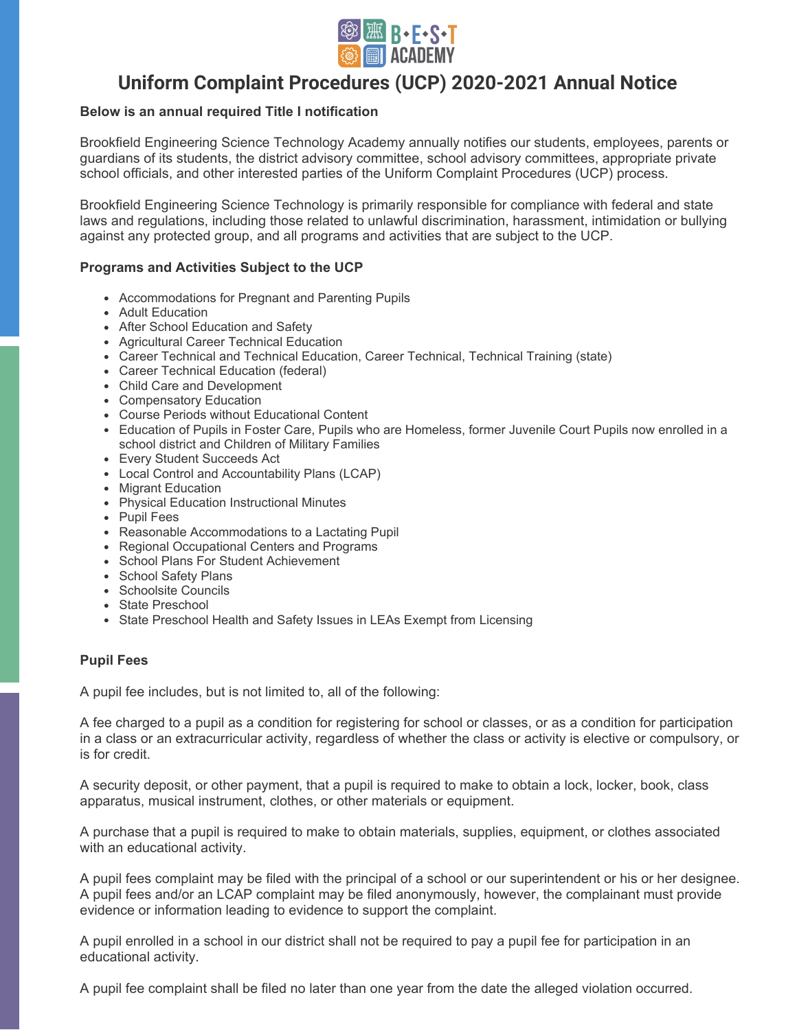

# **Uniform Complaint Procedures (UCP) 2020-2021 Annual Notice**

## **Below is an annual required Title I notification**

Brookfield Engineering Science Technology Academy annually notifies our students, employees, parents or guardians of its students, the district advisory committee, school advisory committees, appropriate private school officials, and other interested parties of the Uniform Complaint Procedures (UCP) process.

Brookfield Engineering Science Technology is primarily responsible for compliance with federal and state laws and regulations, including those related to unlawful discrimination, harassment, intimidation or bullying against any protected group, and all programs and activities that are subject to the UCP.

#### **Programs and Activities Subject to the UCP**

- Accommodations for Pregnant and Parenting Pupils
- Adult Education
- After School Education and Safety
- Agricultural Career Technical Education
- Career Technical and Technical Education, Career Technical, Technical Training (state)
- Career Technical Education (federal)
- Child Care and Development
- Compensatory Education
- Course Periods without Educational Content
- Education of Pupils in Foster Care, Pupils who are Homeless, former Juvenile Court Pupils now enrolled in a school district and Children of Military Families
- Every Student Succeeds Act
- Local Control and Accountability Plans (LCAP)
- Migrant Education
- Physical Education Instructional Minutes
- Pupil Fees
- Reasonable Accommodations to a Lactating Pupil
- Regional Occupational Centers and Programs
- School Plans For Student Achievement
- School Safety Plans
- Schoolsite Councils
- State Preschool
- State Preschool Health and Safety Issues in LEAs Exempt from Licensing

#### **Pupil Fees**

A pupil fee includes, but is not limited to, all of the following:

A fee charged to a pupil as a condition for registering for school or classes, or as a condition for participation in a class or an extracurricular activity, regardless of whether the class or activity is elective or compulsory, or is for credit.

A security deposit, or other payment, that a pupil is required to make to obtain a lock, locker, book, class apparatus, musical instrument, clothes, or other materials or equipment.

A purchase that a pupil is required to make to obtain materials, supplies, equipment, or clothes associated with an educational activity.

A pupil fees complaint may be filed with the principal of a school or our superintendent or his or her designee. A pupil fees and/or an LCAP complaint may be filed anonymously, however, the complainant must provide evidence or information leading to evidence to support the complaint.

A pupil enrolled in a school in our district shall not be required to pay a pupil fee for participation in an educational activity.

A pupil fee complaint shall be filed no later than one year from the date the alleged violation occurred.